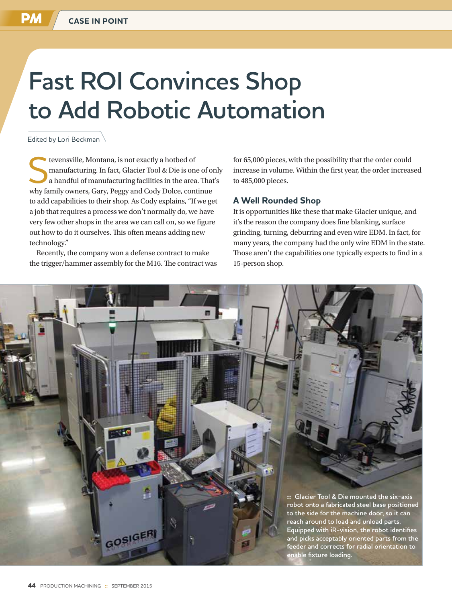# **Fast ROI Convinces Shop to Add Robotic Automation**

Edited by Lori Beckman

stevensville, Montana, is not exactly a hotbed of<br>
a handful of manufacturing facilities in the area. That's<br>
why fomily owners, Cory, Becaused Cody, Delse, continue manufacturing. In fact, Glacier Tool & Die is one of only why family owners, Gary, Peggy and Cody Dolce, continue to add capabilities to their shop. As Cody explains, "If we get a job that requires a process we don't normally do, we have very few other shops in the area we can call on, so we figure out how to do it ourselves. This often means adding new technology."

Recently, the company won a defense contract to make the trigger/hammer assembly for the M16. The contract was for 65,000 pieces, with the possibility that the order could increase in volume. Within the first year, the order increased to 485,000 pieces.

### **A Well Rounded Shop**

It is opportunities like these that make Glacier unique, and it's the reason the company does fine blanking, surface grinding, turning, deburring and even wire EDM. In fact, for many years, the company had the only wire EDM in the state. Those aren't the capabilities one typically expects to find in a 15-person shop.

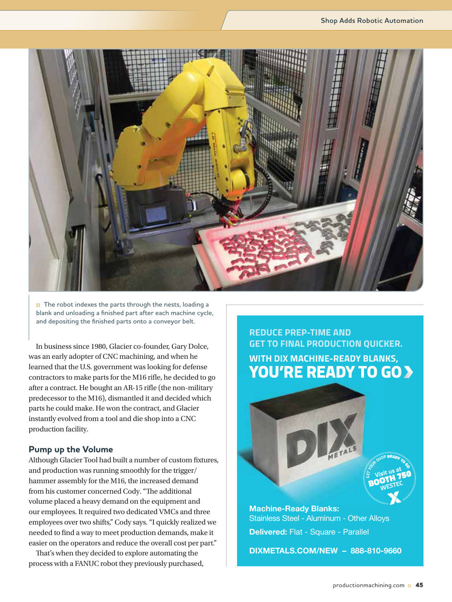

**:: The robot indexes the parts through the nests, loading a blank and unloading a finished part after each machine cycle, and depositing the finished parts onto a conveyor belt.** 

In business since 1980, Glacier co-founder, Gary Dolce, was an early adopter of CNC machining, and when he learned that the U.S. government was looking for defense contractors to make parts for the M16 rifle, he decided to go after a contract. He bought an AR-15 rifle (the non-military predecessor to the M16), dismantled it and decided which parts he could make. He won the contract, and Glacier instantly evolved from a tool and die shop into a CNC production facility.

#### **Pump up the Volume**

Although Glacier Tool had built a number of custom fixtures, and production was running smoothly for the trigger/ hammer assembly for the M16, the increased demand from his customer concerned Cody. "The additional volume placed a heavy demand on the equipment and our employees. It required two dedicated VMCs and three employees over two shifts," Cody says. "I quickly realized we needed to find a way to meet production demands, make it easier on the operators and reduce the overall cost per part."

That's when they decided to explore automating the process with a FANUC robot they previously purchased, **REDUCE PREP-TIME AND GET TO FINAL PRODUCTION QUICKER. WITH DIX MACHINE-READY BLANKS, YOU'RE READY TO GO**



**DIXMETALS.COM/NEW – 888-810-9660**